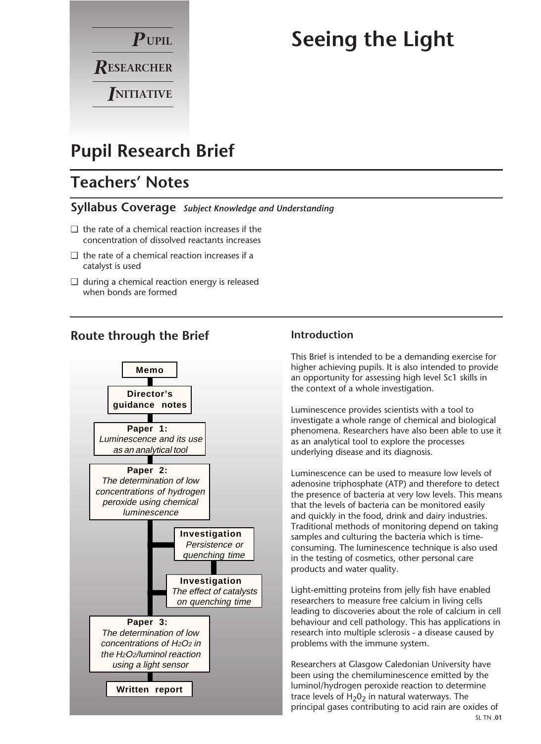

# **Seeing the Light**

# **Pupil Research Brief**

### **Teachers' Notes**

#### **Syllabus Coverage** *Subject Knowledge and Understanding*

- ❏ the rate of a chemical reaction increases if the concentration of dissolved reactants increases
- ❏ the rate of a chemical reaction increases if a catalyst is used
- ❏ during a chemical reaction energy is released when bonds are formed

### **Route through the Brief**



#### **Introduction**

This Brief is intended to be a demanding exercise for higher achieving pupils. It is also intended to provide an opportunity for assessing high level Sc1 skills in the context of a whole investigation.

Luminescence provides scientists with a tool to investigate a whole range of chemical and biological phenomena. Researchers have also been able to use it as an analytical tool to explore the processes underlying disease and its diagnosis.

Luminescence can be used to measure low levels of adenosine triphosphate (ATP) and therefore to detect the presence of bacteria at very low levels. This means that the levels of bacteria can be monitored easily and quickly in the food, drink and dairy industries. Traditional methods of monitoring depend on taking samples and culturing the bacteria which is timeconsuming. The luminescence technique is also used in the testing of cosmetics, other personal care products and water quality.

Light-emitting proteins from jelly fish have enabled researchers to measure free calcium in living cells leading to discoveries about the role of calcium in cell behaviour and cell pathology. This has applications in research into multiple sclerosis - a disease caused by problems with the immune system.

Researchers at Glasgow Caledonian University have been using the chemiluminescence emitted by the luminol/hydrogen peroxide reaction to determine trace levels of  $H_2O_2$  in natural waterways. The principal gases contributing to acid rain are oxides of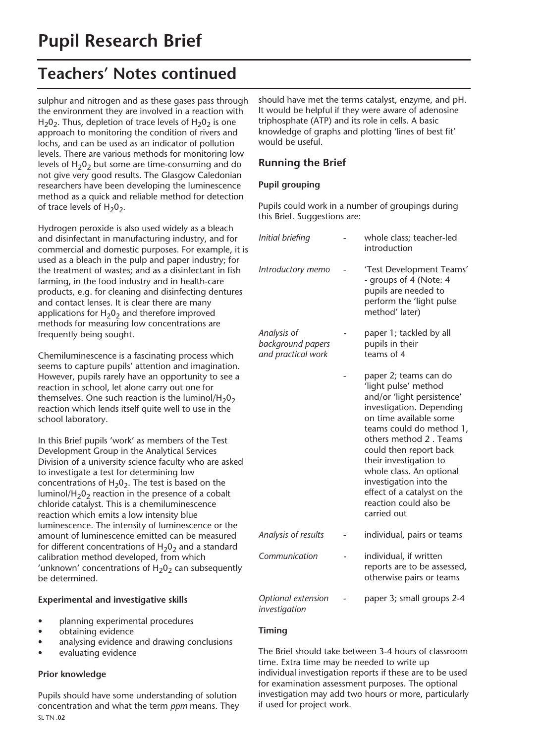### **Teachers' Notes continued**

sulphur and nitrogen and as these gases pass through the environment they are involved in a reaction with  $H<sub>2</sub>0<sub>2</sub>$ . Thus, depletion of trace levels of  $H<sub>2</sub>0<sub>2</sub>$  is one approach to monitoring the condition of rivers and lochs, and can be used as an indicator of pollution levels. There are various methods for monitoring low levels of  $H_2O_2$  but some are time-consuming and do not give very good results. The Glasgow Caledonian researchers have been developing the luminescence method as a quick and reliable method for detection of trace levels of  $H_2O_2$ .

Hydrogen peroxide is also used widely as a bleach and disinfectant in manufacturing industry, and for commercial and domestic purposes. For example, it is used as a bleach in the pulp and paper industry; for the treatment of wastes; and as a disinfectant in fish farming, in the food industry and in health-care products, e.g. for cleaning and disinfecting dentures and contact lenses. It is clear there are many applications for  $H_2O_2$  and therefore improved methods for measuring low concentrations are frequently being sought.

Chemiluminescence is a fascinating process which seems to capture pupils' attention and imagination. However, pupils rarely have an opportunity to see a reaction in school, let alone carry out one for themselves. One such reaction is the luminol/H<sub>2</sub>0<sub>2</sub> reaction which lends itself quite well to use in the school laboratory.

In this Brief pupils 'work' as members of the Test Development Group in the Analytical Services Division of a university science faculty who are asked to investigate a test for determining low concentrations of  $H_2O_2$ . The test is based on the luminol/H<sub>2</sub>O<sub>2</sub> reaction in the presence of a cobalt chloride catalyst. This is a chemiluminescence reaction which emits a low intensity blue luminescence. The intensity of luminescence or the amount of luminescence emitted can be measured for different concentrations of  $H_2O_2$  and a standard calibration method developed, from which 'unknown' concentrations of  $H_2O_2$  can subsequently be determined.

#### **Experimental and investigative skills**

- planning experimental procedures
- obtaining evidence
- analysing evidence and drawing conclusions
- evaluating evidence

#### **Prior knowledge**

Pupils should have some understanding of solution concentration and what the term *ppm* means. They SL TN **.02**

should have met the terms catalyst, enzyme, and pH. It would be helpful if they were aware of adenosine triphosphate (ATP) and its role in cells. A basic knowledge of graphs and plotting 'lines of best fit' would be useful.

#### **Running the Brief**

#### **Pupil grouping**

Pupils could work in a number of groupings during this Brief. Suggestions are:

| Initial briefing                                       | whole class; teacher-led<br>introduction                                                                                                                                                                                                                                                                                                                                  |
|--------------------------------------------------------|---------------------------------------------------------------------------------------------------------------------------------------------------------------------------------------------------------------------------------------------------------------------------------------------------------------------------------------------------------------------------|
| Introductory memo                                      | 'Test Development Teams'<br>- groups of 4 (Note: 4<br>pupils are needed to<br>perform the 'light pulse<br>method' later)                                                                                                                                                                                                                                                  |
| Analysis of<br>background papers<br>and practical work | paper 1; tackled by all<br>pupils in their<br>teams of 4                                                                                                                                                                                                                                                                                                                  |
|                                                        | paper 2; teams can do<br>'light pulse' method<br>and/or 'light persistence'<br>investigation. Depending<br>on time available some<br>teams could do method 1,<br>others method 2. Teams<br>could then report back<br>their investigation to<br>whole class. An optional<br>investigation into the<br>effect of a catalyst on the<br>reaction could also be<br>carried out |
| Analysis of results                                    | individual, pairs or teams                                                                                                                                                                                                                                                                                                                                                |
| Communication                                          | individual, if written<br>reports are to be assessed,<br>otherwise pairs or teams                                                                                                                                                                                                                                                                                         |
| Optional extension<br>investigation                    | paper 3; small groups 2-4                                                                                                                                                                                                                                                                                                                                                 |

#### **Timing**

The Brief should take between 3-4 hours of classroom time. Extra time may be needed to write up individual investigation reports if these are to be used for examination assessment purposes. The optional investigation may add two hours or more, particularly if used for project work.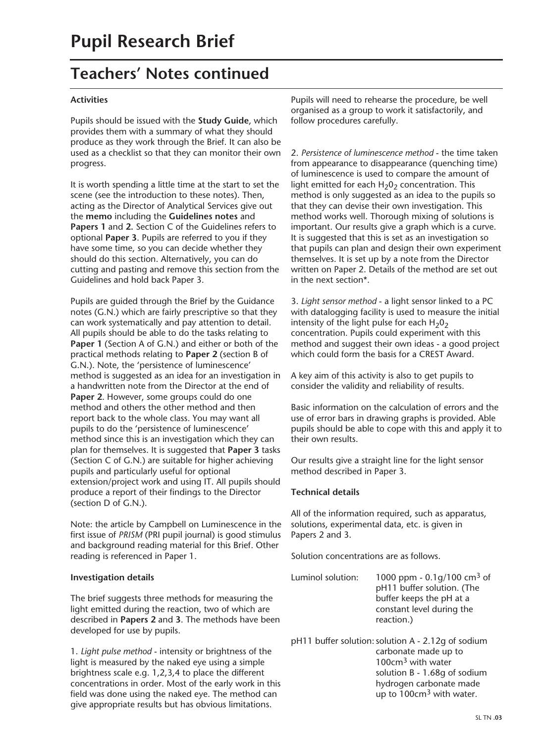### **Teachers' Notes continued**

#### **Activities**

Pupils should be issued with the **Study Guide**, which provides them with a summary of what they should produce as they work through the Brief. It can also be used as a checklist so that they can monitor their own progress.

It is worth spending a little time at the start to set the scene (see the introduction to these notes). Then, acting as the Director of Analytical Services give out the **memo** including the **Guidelines notes** and **Papers 1** and **2.** Section C of the Guidelines refers to optional **Paper 3**. Pupils are referred to you if they have some time, so you can decide whether they should do this section. Alternatively, you can do cutting and pasting and remove this section from the Guidelines and hold back Paper 3.

Pupils are guided through the Brief by the Guidance notes (G.N.) which are fairly prescriptive so that they can work systematically and pay attention to detail. All pupils should be able to do the tasks relating to **Paper 1** (Section A of G.N.) and either or both of the practical methods relating to **Paper 2** (section B of G.N.). Note, the 'persistence of luminescence' method is suggested as an idea for an investigation in a handwritten note from the Director at the end of **Paper 2**. However, some groups could do one method and others the other method and then report back to the whole class. You may want all pupils to do the 'persistence of luminescence' method since this is an investigation which they can plan for themselves. It is suggested that **Paper 3** tasks (Section C of G.N.) are suitable for higher achieving pupils and particularly useful for optional extension/project work and using IT. All pupils should produce a report of their findings to the Director (section D of G.N.).

Note: the article by Campbell on Luminescence in the first issue of *PRISM* (PRI pupil journal) is good stimulus and background reading material for this Brief. Other reading is referenced in Paper 1.

#### **Investigation details**

The brief suggests three methods for measuring the light emitted during the reaction, two of which are described in **Papers 2** and **3**. The methods have been developed for use by pupils.

1. *Light pulse method* - intensity or brightness of the light is measured by the naked eye using a simple brightness scale e.g. 1,2,3,4 to place the different concentrations in order. Most of the early work in this field was done using the naked eye. The method can give appropriate results but has obvious limitations.

Pupils will need to rehearse the procedure, be well organised as a group to work it satisfactorily, and follow procedures carefully.

2. *Persistence of luminescence method* - the time taken from appearance to disappearance (quenching time) of luminescence is used to compare the amount of light emitted for each  $H_2O_2$  concentration. This method is only suggested as an idea to the pupils so that they can devise their own investigation. This method works well. Thorough mixing of solutions is important. Our results give a graph which is a curve. It is suggested that this is set as an investigation so that pupils can plan and design their own experiment themselves. It is set up by a note from the Director written on Paper 2. Details of the method are set out in the next section\*.

3. *Light sensor method* - a light sensor linked to a PC with datalogging facility is used to measure the initial intensity of the light pulse for each  $H_2O_2$ concentration. Pupils could experiment with this method and suggest their own ideas - a good project which could form the basis for a CREST Award.

A key aim of this activity is also to get pupils to consider the validity and reliability of results.

Basic information on the calculation of errors and the use of error bars in drawing graphs is provided. Able pupils should be able to cope with this and apply it to their own results.

Our results give a straight line for the light sensor method described in Paper 3.

#### **Technical details**

All of the information required, such as apparatus, solutions, experimental data, etc. is given in Papers 2 and 3.

Solution concentrations are as follows.

- Luminol solution:  $1000$  ppm  $0.1$ g/100 cm<sup>3</sup> of pH11 buffer solution. (The buffer keeps the pH at a constant level during the reaction.)
- pH11 buffer solution: solution A 2.12g of sodium carbonate made up to 100cm3 with water solution B - 1.68g of sodium hydrogen carbonate made up to 100cm<sup>3</sup> with water.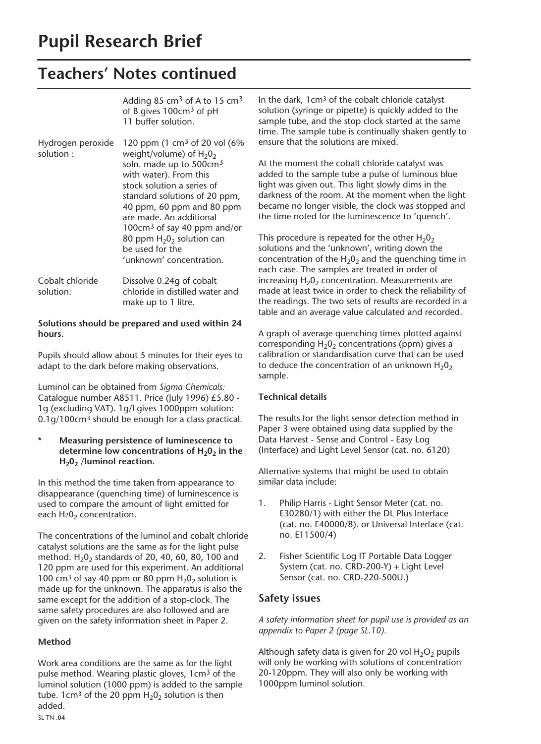## **Pupil Research Brief**

### **Teachers' Notes continued**

|                                | Adding 85 cm <sup>3</sup> of A to 15 cm <sup>3</sup><br>of B gives 100cm <sup>3</sup> of pH<br>11 buffer solution.                                                                                                                                                                                                                                                               |
|--------------------------------|----------------------------------------------------------------------------------------------------------------------------------------------------------------------------------------------------------------------------------------------------------------------------------------------------------------------------------------------------------------------------------|
| Hydrogen peroxide<br>solution: | 120 ppm (1 cm <sup>3</sup> of 20 vol (6%)<br>weight/volume) of $H_2O_2$<br>soln. made up to 500cm <sup>3</sup><br>with water). From this<br>stock solution a series of<br>standard solutions of 20 ppm,<br>40 ppm, 60 ppm and 80 ppm<br>are made. An additional<br>100 $cm3$ of say 40 ppm and/or<br>80 ppm $H_2O_2$ solution can<br>be used for the<br>'unknown' concentration. |
| Cobalt chloride<br>solution:   | Dissolve 0.24q of cobalt<br>chloride in distilled water and<br>make up to 1 litre.                                                                                                                                                                                                                                                                                               |

#### **Solutions should be prepared and used within 24 hours.**

Pupils should allow about 5 minutes for their eyes to adapt to the dark before making observations.

Luminol can be obtained from *Sigma Chemicals:* Catalogue number A8511. Price (July 1996) £5.80 - 1g (excluding VAT). 1g/l gives 1000ppm solution: 0.1g/100cm3 should be enough for a class practical.

#### **\* Measuring persistence of luminescence to**  determine low concentrations of H<sub>2</sub>0<sub>2</sub> in the **H202 /luminol reaction.**

In this method the time taken from appearance to disappearance (quenching time) of luminescence is used to compare the amount of light emitted for each  $H_2O_2$  concentration.

The concentrations of the luminol and cobalt chloride catalyst solutions are the same as for the light pulse method.  $H_2O_2$  standards of 20, 40, 60, 80, 100 and 120 ppm are used for this experiment. An additional 100 cm<sup>3</sup> of say 40 ppm or 80 ppm  $H_2O_2$  solution is made up for the unknown. The apparatus is also the same except for the addition of a stop-clock. The same safety procedures are also followed and are given on the safety information sheet in Paper 2.

#### **Method**

Work area conditions are the same as for the light pulse method. Wearing plastic gloves, 1cm<sup>3</sup> of the luminol solution (1000 ppm) is added to the sample tube. 1cm<sup>3</sup> of the 20 ppm  $H_2O_2$  solution is then added.

In the dark, 1cm3 of the cobalt chloride catalyst solution (syringe or pipette) is quickly added to the sample tube, and the stop clock started at the same time. The sample tube is continually shaken gently to ensure that the solutions are mixed.

At the moment the cobalt chloride catalyst was added to the sample tube a pulse of luminous blue light was given out. This light slowly dims in the darkness of the room. At the moment when the light became no longer visible, the clock was stopped and the time noted for the luminescence to 'quench'.

This procedure is repeated for the other  $H_2O_2$ solutions and the 'unknown', writing down the concentration of the  $H_2O_2$  and the quenching time in each case. The samples are treated in order of increasing  $H_2O_2$  concentration. Measurements are made at least twice in order to check the reliability of the readings. The two sets of results are recorded in a table and an average value calculated and recorded.

A graph of average quenching times plotted against corresponding  $H_2O_2$  concentrations (ppm) gives a calibration or standardisation curve that can be used to deduce the concentration of an unknown  $H_2O_2$ sample.

#### **Technical details**

The results for the light sensor detection method in Paper 3 were obtained using data supplied by the Data Harvest - Sense and Control - Easy Log (Interface) and Light Level Sensor (cat. no. 6120)

Alternative systems that might be used to obtain similar data include:

- 1. Philip Harris Light Sensor Meter (cat. no. E30280/1) with either the DL Plus Interface (cat. no. E40000/8). or Universal Interface (cat. no. E11500/4)
- 2. Fisher Scientific Log IT Portable Data Logger System (cat. no. CRD-200-Y) + Light Level Sensor (cat. no. CRD-220-500U.)

#### **Safety issues**

*A safety information sheet for pupil use is provided as an appendix to Paper 2 (page SL.10).*

Although safety data is given for 20 vol  $H_2O_2$  pupils will only be working with solutions of concentration 20-120ppm. They will also only be working with 1000ppm luminol solution.